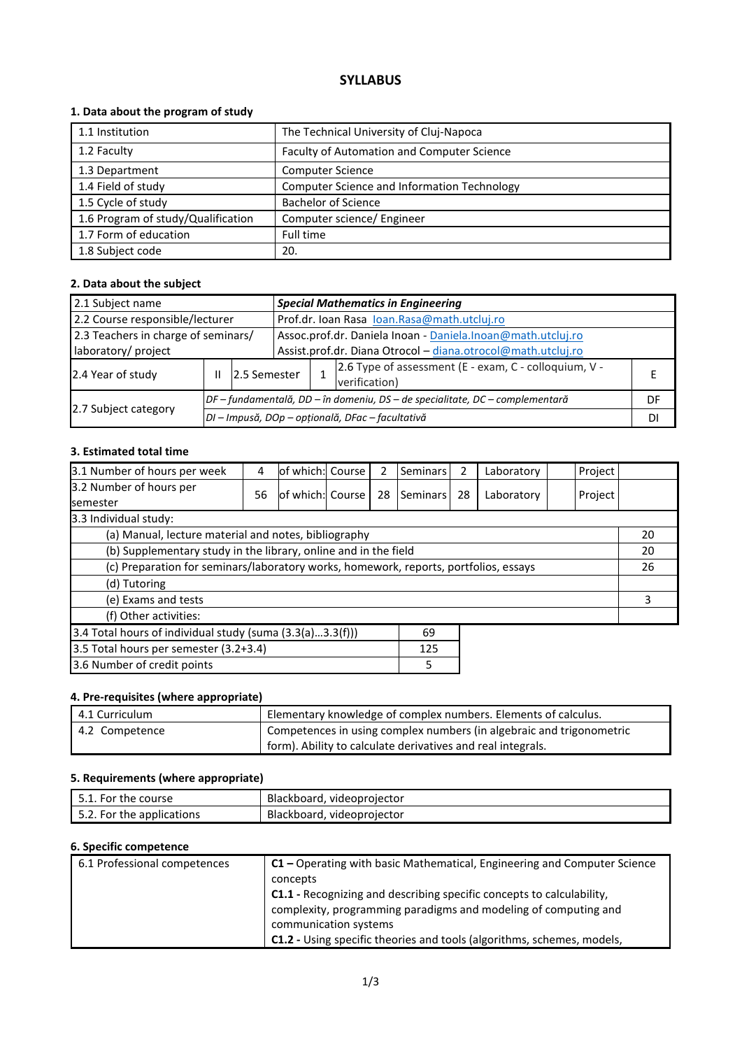## **SYLLABUS**

## **1. Data about the program of study**

| 1.1 Institution                    | The Technical University of Cluj-Napoca            |
|------------------------------------|----------------------------------------------------|
| 1.2 Faculty                        | Faculty of Automation and Computer Science         |
| 1.3 Department                     | <b>Computer Science</b>                            |
| 1.4 Field of study                 | <b>Computer Science and Information Technology</b> |
| 1.5 Cycle of study                 | <b>Bachelor of Science</b>                         |
| 1.6 Program of study/Qualification | Computer science/ Engineer                         |
| 1.7 Form of education              | Full time                                          |
| 1.8 Subject code                   | 20.                                                |

## **2. Data about the subject**

| <b>Special Mathematics in Engineering</b><br>2.1 Subject name |                                                                                |  |                                                              |                                                                        |                                                                              |    |
|---------------------------------------------------------------|--------------------------------------------------------------------------------|--|--------------------------------------------------------------|------------------------------------------------------------------------|------------------------------------------------------------------------------|----|
|                                                               | 2.2 Course responsible/lecturer<br>Prof.dr. Ioan Rasa Ioan.Rasa@math.utcluj.ro |  |                                                              |                                                                        |                                                                              |    |
| 2.3 Teachers in charge of seminars/                           |                                                                                |  | Assoc.prof.dr. Daniela Inoan - Daniela.Inoan@math.utcluj.ro  |                                                                        |                                                                              |    |
| laboratory/ project                                           |                                                                                |  | Assist.prof.dr. Diana Otrocol - diana.otrocol@math.utcluj.ro |                                                                        |                                                                              |    |
| 2.4 Year of study                                             | 2.5 Semester                                                                   |  |                                                              | 2.6 Type of assessment (E - exam, C - colloquium, V -<br>verification) |                                                                              |    |
|                                                               |                                                                                |  |                                                              |                                                                        | DF – fundamentală, DD – în domeniu, DS – de specialitate, DC – complementară | DF |
| 2.7 Subject category                                          |                                                                                |  | DI - Impusă, DOp - opțională, DFac - facultativă             |                                                                        | DI                                                                           |    |

### **3. Estimated total time**

| 3.1 Number of hours per week                                                         | 4  | of which: Course |  | 2  | Seminars | 2  | Laboratory | Project |    |
|--------------------------------------------------------------------------------------|----|------------------|--|----|----------|----|------------|---------|----|
| 3.2 Number of hours per<br>semester                                                  | 56 | of which: Course |  | 28 | Seminars | 28 | Laboratory | Project |    |
| 3.3 Individual study:                                                                |    |                  |  |    |          |    |            |         |    |
| (a) Manual, lecture material and notes, bibliography                                 |    |                  |  |    |          |    |            |         | 20 |
| (b) Supplementary study in the library, online and in the field                      |    |                  |  |    |          |    |            | 20      |    |
| (c) Preparation for seminars/laboratory works, homework, reports, portfolios, essays |    |                  |  |    |          |    |            | 26      |    |
| (d) Tutoring                                                                         |    |                  |  |    |          |    |            |         |    |
| (e) Exams and tests                                                                  |    |                  |  |    |          |    |            | 3       |    |
| (f) Other activities:                                                                |    |                  |  |    |          |    |            |         |    |
| 3.4 Total hours of individual study (suma (3.3(a)3.3(f)))<br>69                      |    |                  |  |    |          |    |            |         |    |
| 3.5 Total hours per semester (3.2+3.4)<br>125                                        |    |                  |  |    |          |    |            |         |    |
| 3.6 Number of credit points<br>5                                                     |    |                  |  |    |          |    |            |         |    |

## **4. Pre-requisites (where appropriate)**

| l 4.1 Curriculum | Elementary knowledge of complex numbers. Elements of calculus.       |
|------------------|----------------------------------------------------------------------|
| 4.2 Competence   | Competences in using complex numbers (in algebraic and trigonometric |
|                  | form). Ability to calculate derivatives and real integrals.          |

## **5. Requirements (where appropriate)**

| $\mathsf{I}$ 5.1. For the course | Blackboard, videoprojector |
|----------------------------------|----------------------------|
| 5.2. For the applications        | Blackboard, videoprojector |

#### **6. Specific competence**

| 6.1 Professional competences | C1 - Operating with basic Mathematical, Engineering and Computer Science |
|------------------------------|--------------------------------------------------------------------------|
|                              | concepts                                                                 |
|                              | C1.1 - Recognizing and describing specific concepts to calculability,    |
|                              | complexity, programming paradigms and modeling of computing and          |
|                              | communication systems                                                    |
|                              | C1.2 - Using specific theories and tools (algorithms, schemes, models,   |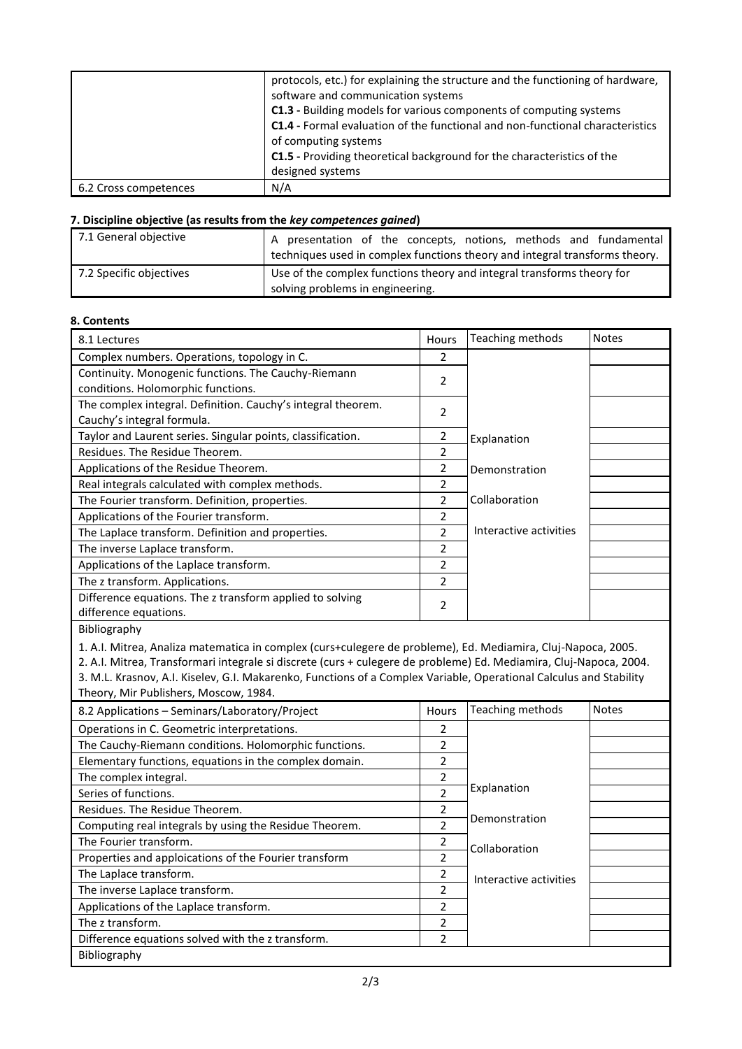|                       | protocols, etc.) for explaining the structure and the functioning of hardware,<br>software and communication systems<br>C1.3 - Building models for various components of computing systems<br>C1.4 - Formal evaluation of the functional and non-functional characteristics<br>of computing systems<br>C1.5 - Providing theoretical background for the characteristics of the<br>designed systems |
|-----------------------|---------------------------------------------------------------------------------------------------------------------------------------------------------------------------------------------------------------------------------------------------------------------------------------------------------------------------------------------------------------------------------------------------|
| 6.2 Cross competences | N/A                                                                                                                                                                                                                                                                                                                                                                                               |

# **7. Discipline objective (as results from the** *key competences gained***)**

| 7.1 General objective   | A presentation of the concepts, notions, methods and fundamental<br>techniques used in complex functions theory and integral transforms theory. |
|-------------------------|-------------------------------------------------------------------------------------------------------------------------------------------------|
| 7.2 Specific objectives | Use of the complex functions theory and integral transforms theory for<br>solving problems in engineering.                                      |

## **8. Contents**

| 8.1 Lectures                                                                                                                                                                                                                                                                                                                                             | Hours               | Teaching methods       | <b>Notes</b> |
|----------------------------------------------------------------------------------------------------------------------------------------------------------------------------------------------------------------------------------------------------------------------------------------------------------------------------------------------------------|---------------------|------------------------|--------------|
| Complex numbers. Operations, topology in C.                                                                                                                                                                                                                                                                                                              | $\overline{2}$      |                        |              |
| Continuity. Monogenic functions. The Cauchy-Riemann<br>conditions. Holomorphic functions.                                                                                                                                                                                                                                                                | 2                   |                        |              |
| The complex integral. Definition. Cauchy's integral theorem.                                                                                                                                                                                                                                                                                             |                     |                        |              |
| Cauchy's integral formula.                                                                                                                                                                                                                                                                                                                               | $\overline{2}$      |                        |              |
| Taylor and Laurent series. Singular points, classification.                                                                                                                                                                                                                                                                                              | $\overline{2}$      | Explanation            |              |
| Residues. The Residue Theorem.                                                                                                                                                                                                                                                                                                                           |                     |                        |              |
| Applications of the Residue Theorem.                                                                                                                                                                                                                                                                                                                     | 2                   | Demonstration          |              |
| Real integrals calculated with complex methods.                                                                                                                                                                                                                                                                                                          | $\overline{2}$      |                        |              |
| The Fourier transform. Definition, properties.                                                                                                                                                                                                                                                                                                           | $\overline{2}$      | Collaboration          |              |
| Applications of the Fourier transform.                                                                                                                                                                                                                                                                                                                   | $\overline{2}$      |                        |              |
| The Laplace transform. Definition and properties.                                                                                                                                                                                                                                                                                                        | $\overline{2}$      | Interactive activities |              |
| The inverse Laplace transform.                                                                                                                                                                                                                                                                                                                           | $\overline{2}$      |                        |              |
| Applications of the Laplace transform.                                                                                                                                                                                                                                                                                                                   | $\overline{2}$      |                        |              |
| The z transform. Applications.                                                                                                                                                                                                                                                                                                                           | $\overline{2}$      |                        |              |
| Difference equations. The z transform applied to solving<br>difference equations.                                                                                                                                                                                                                                                                        | 2                   |                        |              |
|                                                                                                                                                                                                                                                                                                                                                          |                     |                        |              |
| Bibliography                                                                                                                                                                                                                                                                                                                                             |                     |                        |              |
| 1. A.I. Mitrea, Analiza matematica in complex (curs+culegere de probleme), Ed. Mediamira, Cluj-Napoca, 2005.<br>2. A.I. Mitrea, Transformari integrale si discrete (curs + culegere de probleme) Ed. Mediamira, Cluj-Napoca, 2004.<br>3. M.L. Krasnov, A.I. Kiselev, G.I. Makarenko, Functions of a Complex Variable, Operational Calculus and Stability |                     |                        |              |
| Theory, Mir Publishers, Moscow, 1984.<br>8.2 Applications - Seminars/Laboratory/Project                                                                                                                                                                                                                                                                  | <b>Hours</b>        | Teaching methods       | <b>Notes</b> |
|                                                                                                                                                                                                                                                                                                                                                          | 2                   |                        |              |
| Operations in C. Geometric interpretations.                                                                                                                                                                                                                                                                                                              |                     |                        |              |
| The Cauchy-Riemann conditions. Holomorphic functions.                                                                                                                                                                                                                                                                                                    | 2<br>$\overline{2}$ |                        |              |
| Elementary functions, equations in the complex domain.                                                                                                                                                                                                                                                                                                   | $\overline{2}$      |                        |              |
| The complex integral.<br>Series of functions.                                                                                                                                                                                                                                                                                                            | $\overline{2}$      | Explanation            |              |
| Residues. The Residue Theorem.                                                                                                                                                                                                                                                                                                                           | $\overline{2}$      |                        |              |
| Computing real integrals by using the Residue Theorem.                                                                                                                                                                                                                                                                                                   | $\overline{2}$      | Demonstration          |              |
| The Fourier transform.                                                                                                                                                                                                                                                                                                                                   | $\overline{2}$      |                        |              |
| Properties and apploications of the Fourier transform                                                                                                                                                                                                                                                                                                    | $\overline{2}$      | Collaboration          |              |
| The Laplace transform.                                                                                                                                                                                                                                                                                                                                   | $\overline{2}$      |                        |              |
| The inverse Laplace transform.                                                                                                                                                                                                                                                                                                                           | $\overline{2}$      | Interactive activities |              |
| Applications of the Laplace transform.                                                                                                                                                                                                                                                                                                                   | $\overline{2}$      |                        |              |
| The z transform.                                                                                                                                                                                                                                                                                                                                         | $\overline{2}$      |                        |              |
| Difference equations solved with the z transform.                                                                                                                                                                                                                                                                                                        | $\overline{2}$      |                        |              |